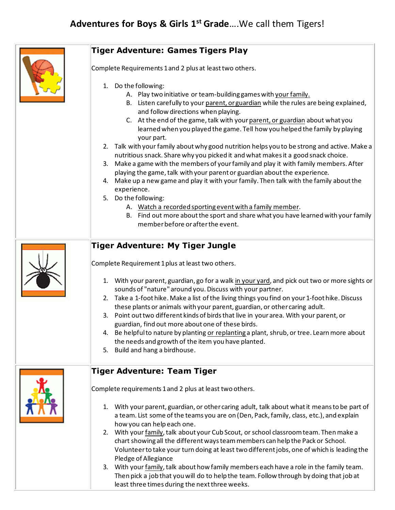

Then pick a job that you will do to help the team. Follow through by doing that job at least three times during the next three weeks.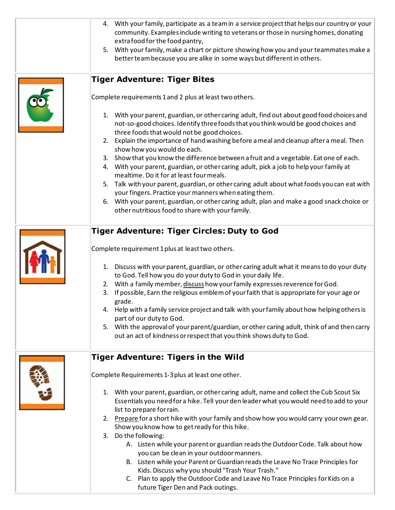| 4. With your family, participate as a team in a service project that helps our country or your<br>community. Examples include writing to veterans or those in nursing homes, donating<br>extra food for the food pantry,<br>5. With your family, make a chart or picture showing how you and your teammates make a<br>better team because you are alike in some ways but different in others.                                                                                                                                                                                                                                                                                                                                                                                                                                                                                                                                                                                                         |
|-------------------------------------------------------------------------------------------------------------------------------------------------------------------------------------------------------------------------------------------------------------------------------------------------------------------------------------------------------------------------------------------------------------------------------------------------------------------------------------------------------------------------------------------------------------------------------------------------------------------------------------------------------------------------------------------------------------------------------------------------------------------------------------------------------------------------------------------------------------------------------------------------------------------------------------------------------------------------------------------------------|
| <b>Tiger Adventure: Tiger Bites</b><br>Complete requirements 1 and 2 plus at least two others.<br>1. With your parent, guardian, or other caring adult, find out about good food choices and<br>not-so-good choices. Identify three foods that you think would be good choices and<br>three foods that would not be good choices.<br>2. Explain the importance of hand washing before a meal and cleanup after a meal. Then<br>show how you would do each.<br>3. Show that you know the difference between a fruit and a vegetable. Eat one of each.<br>4. With your parent, guardian, or other caring adult, pick a job to help your family at<br>mealtime. Do it for at least four meals.<br>5. Talk with your parent, guardian, or other caring adult about what foods you can eat with<br>your fingers. Practice your manners when eating them.<br>6. With your parent, guardian, or other caring adult, plan and make a good snack choice or<br>other nutritious food to share with your family. |
| <b>Tiger Adventure: Tiger Circles: Duty to God</b><br>Complete requirement 1 plus at least two others.<br>1. Discuss with your parent, guardian, or other caring adult what it means to do your duty<br>to God. Tell how you do your duty to God in your daily life.<br>2. With a family member, discuss how your family expresses reverence for God.<br>If possible, Earn the religious emblem of your faith that is appropriate for your age or<br>3.<br>grade.<br>4. Help with a family service project and talk with your family about how helping others is<br>part of our duty to God.<br>5. With the approval of your parent/guardian, or other caring adult, think of and then carry<br>out an act of kindness or respect that you think shows duty to God.                                                                                                                                                                                                                                   |
| <b>Tiger Adventure: Tigers in the Wild</b><br>Complete Requirements 1-3 plus at least one other.<br>1. With your parent, guardian, or other caring adult, name and collect the Cub Scout Six<br>Essentials you need for a hike. Tell your den leader what you would need to add to your<br>list to prepare for rain.<br>2. Prepare for a short hike with your family and show how you would carry your own gear.<br>Show you know how to get ready for this hike.<br>Do the following:<br>3.<br>A. Listen while your parent or guardian reads the Outdoor Code. Talk about how<br>you can be clean in your outdoor manners.<br>B. Listen while your Parent or Guardian reads the Leave No Trace Principles for<br>Kids. Discuss why you should "Trash Your Trash."<br>C. Plan to apply the Outdoor Code and Leave No Trace Principles for Kids on a<br>future Tiger Den and Pack outings.                                                                                                             |